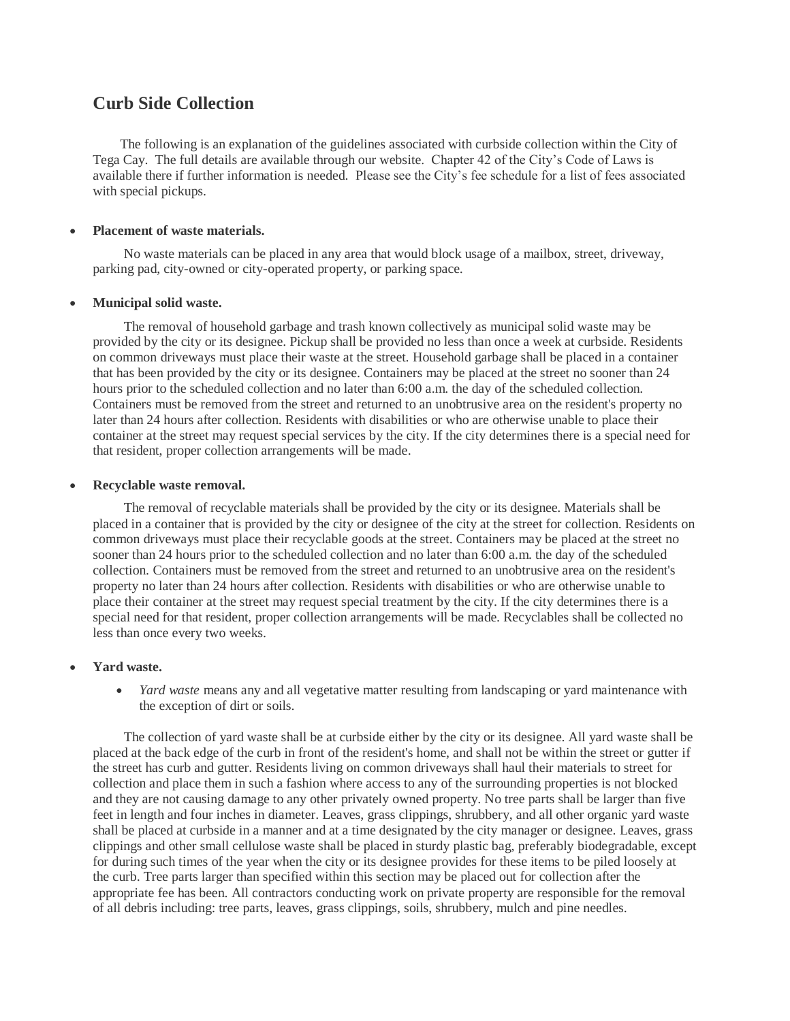# **Curb Side Collection**

 The following is an explanation of the guidelines associated with curbside collection within the City of Tega Cay. The full details are available through our website. Chapter 42 of the City's Code of Laws is available there if further information is needed. Please see the City's fee schedule for a list of fees associated with special pickups.

## **Placement of waste materials.**

No waste materials can be placed in any area that would block usage of a mailbox, street, driveway, parking pad, city-owned or city-operated property, or parking space.

#### **Municipal solid waste.**

The removal of household garbage and trash known collectively as municipal solid waste may be provided by the city or its designee. Pickup shall be provided no less than once a week at curbside. Residents on common driveways must place their waste at the street. Household garbage shall be placed in a container that has been provided by the city or its designee. Containers may be placed at the street no sooner than 24 hours prior to the scheduled collection and no later than 6:00 a.m. the day of the scheduled collection. Containers must be removed from the street and returned to an unobtrusive area on the resident's property no later than 24 hours after collection. Residents with disabilities or who are otherwise unable to place their container at the street may request special services by the city. If the city determines there is a special need for that resident, proper collection arrangements will be made.

#### **Recyclable waste removal.**

The removal of recyclable materials shall be provided by the city or its designee. Materials shall be placed in a container that is provided by the city or designee of the city at the street for collection. Residents on common driveways must place their recyclable goods at the street. Containers may be placed at the street no sooner than 24 hours prior to the scheduled collection and no later than 6:00 a.m. the day of the scheduled collection. Containers must be removed from the street and returned to an unobtrusive area on the resident's property no later than 24 hours after collection. Residents with disabilities or who are otherwise unable to place their container at the street may request special treatment by the city. If the city determines there is a special need for that resident, proper collection arrangements will be made. Recyclables shall be collected no less than once every two weeks.

## **Yard waste.**

 *Yard waste* means any and all vegetative matter resulting from landscaping or yard maintenance with the exception of dirt or soils.

The collection of yard waste shall be at curbside either by the city or its designee. All yard waste shall be placed at the back edge of the curb in front of the resident's home, and shall not be within the street or gutter if the street has curb and gutter. Residents living on common driveways shall haul their materials to street for collection and place them in such a fashion where access to any of the surrounding properties is not blocked and they are not causing damage to any other privately owned property. No tree parts shall be larger than five feet in length and four inches in diameter. Leaves, grass clippings, shrubbery, and all other organic yard waste shall be placed at curbside in a manner and at a time designated by the city manager or designee. Leaves, grass clippings and other small cellulose waste shall be placed in sturdy plastic bag, preferably biodegradable, except for during such times of the year when the city or its designee provides for these items to be piled loosely at the curb. Tree parts larger than specified within this section may be placed out for collection after the appropriate fee has been. All contractors conducting work on private property are responsible for the removal of all debris including: tree parts, leaves, grass clippings, soils, shrubbery, mulch and pine needles.